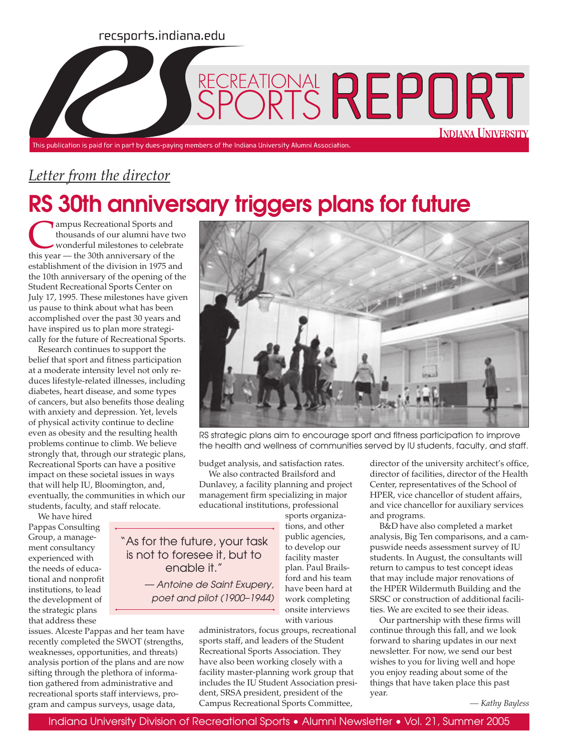#### recsports.indiana.edu



### *Letter from the director*

# RS 30th anniversary triggers plans for future

ampus Recreational Sports and thousands of our alumni have two wonderful milestones to celebrate this year — the 30th anniversary of the establishment of the division in 1975 and the 10th anniversary of the opening of the Student Recreational Sports Center on July 17, 1995. These milestones have given us pause to think about what has been accomplished over the past 30 years and have inspired us to plan more strategically for the future of Recreational Sports.

Research continues to support the belief that sport and fitness participation at a moderate intensity level not only reduces lifestyle-related illnesses, including diabetes, heart disease, and some types of cancers, but also benefits those dealing with anxiety and depression. Yet, levels of physical activity continue to decline even as obesity and the resulting health problems continue to climb. We believe strongly that, through our strategic plans, Recreational Sports can have a positive impact on these societal issues in ways that will help IU, Bloomington, and, eventually, the communities in which our students, faculty, and staff relocate.

We have hired Pappas Consulting Group, a management consultancy experienced with the needs of educational and nonprofit institutions, to lead the development of the strategic plans that address these

issues. Alceste Pappas and her team have recently completed the SWOT (strengths, weaknesses, opportunities, and threats) analysis portion of the plans and are now sifting through the plethora of information gathered from administrative and recreational sports staff interviews, program and campus surveys, usage data,



RS strategic plans aim to encourage sport and fitness participation to improve the health and wellness of communities served by IU students, faculty, and staff.

budget analysis, and satisfaction rates.

"As for the future, your task is not to foresee it, but to enable it."

> — Antoine de Saint Exupery, poet and pilot (1900–1944)

> > with various administrators, focus groups, recreational sports staff, and leaders of the Student Recreational Sports Association. They have also been working closely with a facility master-planning work group that includes the IU Student Association president, SRSA president, president of the Campus Recreational Sports Committee,

director of facilities, director of the Health Center, representatives of the School of HPER, vice chancellor of student affairs, and vice chancellor for auxiliary services and programs. B&D have also completed a market

analysis, Big Ten comparisons, and a campuswide needs assessment survey of IU students. In August, the consultants will return to campus to test concept ideas that may include major renovations of the HPER Wildermuth Building and the SRSC or construction of additional facilities. We are excited to see their ideas.

Our partnership with these firms will continue through this fall, and we look forward to sharing updates in our next newsletter. For now, we send our best wishes to you for living well and hope you enjoy reading about some of the things that have taken place this past year.

*— Kathy Bayless*

We also contracted Brailsford and Dunlavey, a facility planning and project management firm specializing in major educational institutions, professional sports organizations, and other director of the university architect's office,

> public agencies, to develop our facility master plan. Paul Brailsford and his team have been hard at work completing onsite interviews

Indiana University Division of Recreational Sports • Alumni Newsletter • Vol. 21, Summer 2005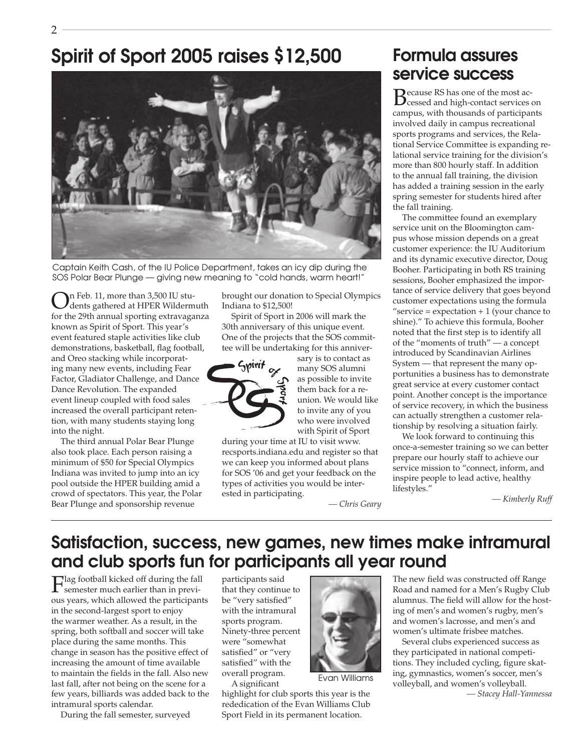## Spirit of Sport 2005 raises \$12,500



Captain Keith Cash, of the IU Police Department, takes an icy dip during the SOS Polar Bear Plunge — giving new meaning to "cold hands, warm heart!"

In Feb. 11, more than  $3,500$  IU students gathered at HPER Wildermuth for the 29th annual sporting extravaganza known as Spirit of Sport. This year's event featured staple activities like club demonstrations, basketball, flag football, and Oreo stacking while incorporating many new events, including Fear Factor, Gladiator Challenge, and Dance Dance Revolution. The expanded event lineup coupled with food sales increased the overall participant retention, with many students staying long into the night.

The third annual Polar Bear Plunge also took place. Each person raising a minimum of \$50 for Special Olympics Indiana was invited to jump into an icy pool outside the HPER building amid a crowd of spectators. This year, the Polar Bear Plunge and sponsorship revenue

brought our donation to Special Olympics Indiana to \$12,500!

Spirit of Sport in 2006 will mark the 30th anniversary of this unique event. One of the projects that the SOS committee will be undertaking for this anniver-



sary is to contact as many SOS alumni as possible to invite them back for a reunion. We would like to invite any of you who were involved with Spirit of Sport

during your time at IU to visit www. recsports.indiana.edu and register so that we can keep you informed about plans for SOS '06 and get your feedback on the types of activities you would be interested in participating.

### Formula assures service success

Because RS has one of the most ac-cessed and high-contact services on campus, with thousands of participants involved daily in campus recreational sports programs and services, the Relational Service Committee is expanding relational service training for the division's more than 800 hourly staff. In addition to the annual fall training, the division has added a training session in the early spring semester for students hired after the fall training.

The committee found an exemplary service unit on the Bloomington campus whose mission depends on a great customer experience: the IU Auditorium and its dynamic executive director, Doug Booher. Participating in both RS training sessions, Booher emphasized the importance of service delivery that goes beyond customer expectations using the formula "service =  $expectation + 1$  (your chance to shine)." To achieve this formula, Booher noted that the first step is to identify all of the "moments of truth" — a concept introduced by Scandinavian Airlines System — that represent the many opportunities a business has to demonstrate great service at every customer contact point. Another concept is the importance of service recovery, in which the business can actually strengthen a customer relationship by resolving a situation fairly.

We look forward to continuing this once-a-semester training so we can better prepare our hourly staff to achieve our service mission to "connect, inform, and inspire people to lead active, healthy lifestyles."

*— Kimberly Ruff*

*— Chris Geary*

#### Satisfaction, success, new games, new times make intramural and club sports fun for participants all year round

Flag football kicked off during the fall semester much earlier than in previous years, which allowed the participants in the second-largest sport to enjoy the warmer weather. As a result, in the spring, both softball and soccer will take place during the same months. This change in season has the positive effect of increasing the amount of time available to maintain the fields in the fall. Also new last fall, after not being on the scene for a few years, billiards was added back to the intramural sports calendar.

During the fall semester, surveyed

participants said that they continue to be "very satisfied" with the intramural sports program. Ninety-three percent were "somewhat satisfied" or "very satisfied" with the overall program. A significant

highlight for club sports this year is the rededication of the Evan Williams Club Sport Field in its permanent location.



Evan Williams

The new field was constructed off Range Road and named for a Men's Rugby Club alumnus. The field will allow for the hosting of men's and women's rugby, men's and women's lacrosse, and men's and women's ultimate frisbee matches.

Several clubs experienced success as they participated in national competitions. They included cycling, figure skating, gymnastics, women's soccer, men's volleyball, and women's volleyball.

*— Stacey Hall-Yannessa*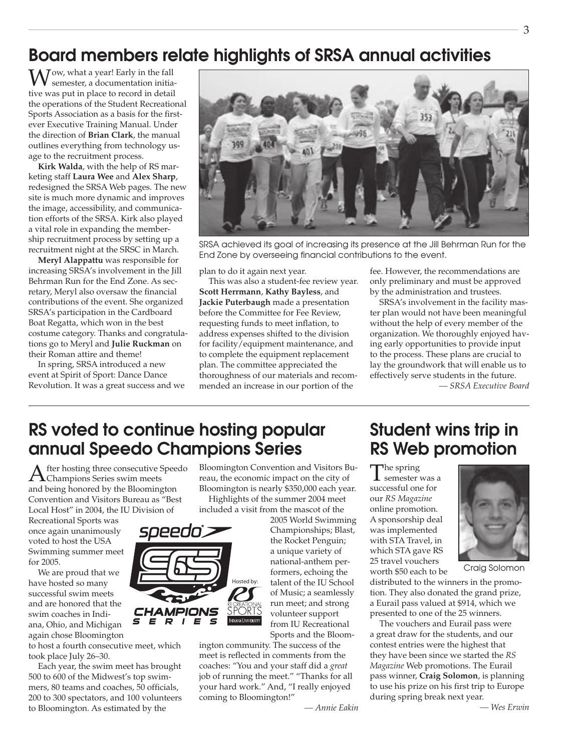### Board members relate highlights of SRSA annual activities

Wow, what a year! Early in the fall<br>semester, a documentation initiative was put in place to record in detail the operations of the Student Recreational Sports Association as a basis for the firstever Executive Training Manual. Under the direction of **Brian Clark**, the manual outlines everything from technology usage to the recruitment process.

**Kirk Walda**, with the help of RS marketing staff **Laura Wee** and **Alex Sharp**, redesigned the SRSA Web pages. The new site is much more dynamic and improves the image, accessibility, and communication efforts of the SRSA. Kirk also played a vital role in expanding the membership recruitment process by setting up a recruitment night at the SRSC in March.

**Meryl Alappattu** was responsible for increasing SRSA's involvement in the Jill Behrman Run for the End Zone. As secretary, Meryl also oversaw the financial contributions of the event. She organized SRSA's participation in the Cardboard Boat Regatta, which won in the best costume category. Thanks and congratulations go to Meryl and **Julie Ruckman** on their Roman attire and theme!

In spring, SRSA introduced a new event at Spirit of Sport: Dance Dance Revolution. It was a great success and we



SRSA achieved its goal of increasing its presence at the Jill Behrman Run for the End Zone by overseeing financial contributions to the event.

plan to do it again next year.

This was also a student-fee review year. **Scott Herrmann**, **Kathy Bayless**, and **Jackie Puterbaugh** made a presentation before the Committee for Fee Review, requesting funds to meet inflation, to address expenses shifted to the division for facility/equipment maintenance, and to complete the equipment replacement plan. The committee appreciated the thoroughness of our materials and recommended an increase in our portion of the

fee. However, the recommendations are only preliminary and must be approved by the administration and trustees.

SRSA's involvement in the facility master plan would not have been meaningful without the help of every member of the organization. We thoroughly enjoyed having early opportunities to provide input to the process. These plans are crucial to lay the groundwork that will enable us to effectively serve students in the future.

*— SRSA Executive Board*

### RS voted to continue hosting popular annual Speedo Champions Series

After hosting three consecutive Speedo Champions Series swim meets and being honored by the Bloomington Convention and Visitors Bureau as "Best Local Host" in 2004, the IU Division of

Recreational Sports was once again unanimously voted to host the USA Swimming summer meet for 2005.

We are proud that we have hosted so many successful swim meets and are honored that the swim coaches in Indiana, Ohio, and Michigan again chose Bloomington

to host a fourth consecutive meet, which took place July 26–30.

Each year, the swim meet has brought 500 to 600 of the Midwest's top swimmers, 80 teams and coaches, 50 officials, 200 to 300 spectators, and 100 volunteers to Bloomington. As estimated by the

Bloomington Convention and Visitors Bureau, the economic impact on the city of Bloomington is nearly \$350,000 each year.

Highlights of the summer 2004 meet included a visit from the mascot of the

2005 World Swimming Championships; Blast, the Rocket Penguin; a unique variety of national-anthem performers, echoing the talent of the IU School of Music; a seamlessly run meet; and strong volunteer support from IU Recreational Sports and the Bloom-

ington community. The success of the meet is reflected in comments from the coaches: "You and your staff did a *great* job of running the meet." "Thanks for all your hard work." And, "I really enjoyed coming to Bloomington!"

*— Annie Eakin*

### Student wins trip in RS Web promotion

The spring<br>
semester was a successful one for our *RS Magazine* online promotion. A sponsorship deal was implemented with STA Travel, in which STA gave RS 25 travel vouchers worth \$50 each to be



Craig Solomon

distributed to the winners in the promotion. They also donated the grand prize, a Eurail pass valued at \$914, which we presented to one of the 25 winners.

The vouchers and Eurail pass were a great draw for the students, and our contest entries were the highest that they have been since we started the *RS Magazine* Web promotions. The Eurail pass winner, **Craig Solomon**, is planning to use his prize on his first trip to Europe during spring break next year.

*— Wes Erwin*



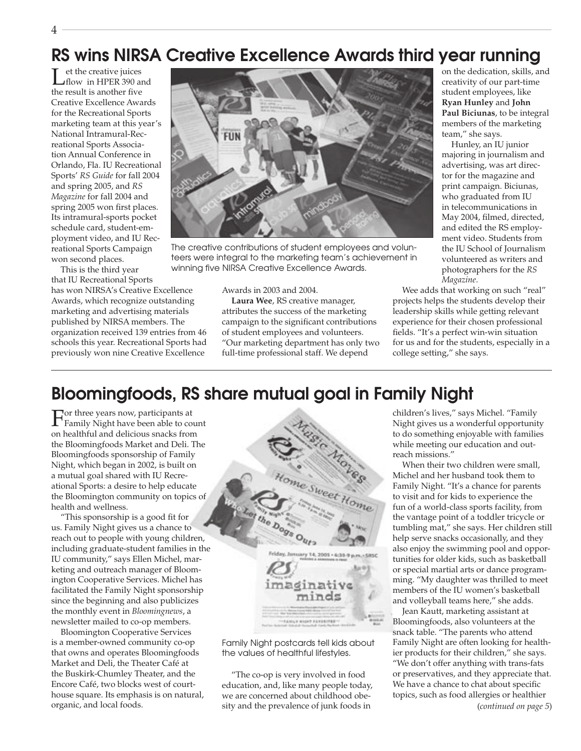### RS wins NIRSA Creative Excellence Awards third year running

Let the creative juices<br>
flow in HPER 390 and the result is another five Creative Excellence Awards for the Recreational Sports marketing team at this year's National Intramural-Recreational Sports Association Annual Conference in Orlando, Fla. IU Recreational Sports' *RS Guide* for fall 2004 and spring 2005, and *RS Magazine* for fall 2004 and spring 2005 won first places. Its intramural-sports pocket schedule card, student-employment video, and IU Recreational Sports Campaign won second places.

This is the third year that IU Recreational Sports has won NIRSA's Creative Excellence Awards, which recognize outstanding marketing and advertising materials published by NIRSA members. The organization received 139 entries from 46 schools this year. Recreational Sports had

previously won nine Creative Excellence



The creative contributions of student employees and volunteers were integral to the marketing team's achievement in winning five NIRSA Creative Excellence Awards.

Awards in 2003 and 2004.

**Laura Wee**, RS creative manager, attributes the success of the marketing campaign to the significant contributions of student employees and volunteers. "Our marketing department has only two full-time professional staff. We depend

on the dedication, skills, and creativity of our part-time student employees, like **Ryan Hunley** and **John Paul Biciunas**, to be integral members of the marketing team," she says.

Hunley, an IU junior majoring in journalism and advertising, was art director for the magazine and print campaign. Biciunas, who graduated from IU in telecommunications in May 2004, filmed, directed, and edited the RS employment video. Students from the IU School of Journalism volunteered as writers and photographers for the *RS Magazine*.

Wee adds that working on such "real" projects helps the students develop their leadership skills while getting relevant experience for their chosen professional fields. "It's a perfect win-win situation for us and for the students, especially in a college setting," she says.

### Bloomingfoods, RS share mutual goal in Family Night

For three years now, participants at Family Night have been able to count on healthful and delicious snacks from the Bloomingfoods Market and Deli. The Bloomingfoods sponsorship of Family Night, which began in 2002, is built on a mutual goal shared with IU Recreational Sports: a desire to help educate the Bloomington community on topics of health and wellness.

"This sponsorship is a good fit for us. Family Night gives us a chance to reach out to people with young children, including graduate-student families in the IU community," says Ellen Michel, marketing and outreach manager of Bloomington Cooperative Services. Michel has facilitated the Family Night sponsorship since the beginning and also publicizes the monthly event in *Bloomingnews*, a newsletter mailed to co-op members.

Bloomington Cooperative Services is a member-owned community co-op that owns and operates Bloomingfoods Market and Deli, the Theater Café at the Buskirk-Chumley Theater, and the Encore Café, two blocks west of courthouse square. Its emphasis is on natural, organic, and local foods.



Family Night postcards tell kids about the values of healthful lifestyles.

"The co-op is very involved in food education, and, like many people today, we are concerned about childhood obesity and the prevalence of junk foods in

children's lives," says Michel. "Family Night gives us a wonderful opportunity to do something enjoyable with families while meeting our education and outreach missions."

When their two children were small, Michel and her husband took them to Family Night. "It's a chance for parents to visit and for kids to experience the fun of a world-class sports facility, from the vantage point of a toddler tricycle or tumbling mat," she says. Her children still help serve snacks occasionally, and they also enjoy the swimming pool and opportunities for older kids, such as basketball or special martial arts or dance programming. "My daughter was thrilled to meet members of the IU women's basketball and volleyball teams here," she adds.

Jean Kautt, marketing assistant at Bloomingfoods, also volunteers at the snack table. "The parents who attend Family Night are often looking for healthier products for their children," she says. "We don't offer anything with trans-fats or preservatives, and they appreciate that. We have a chance to chat about specific topics, such as food allergies or healthier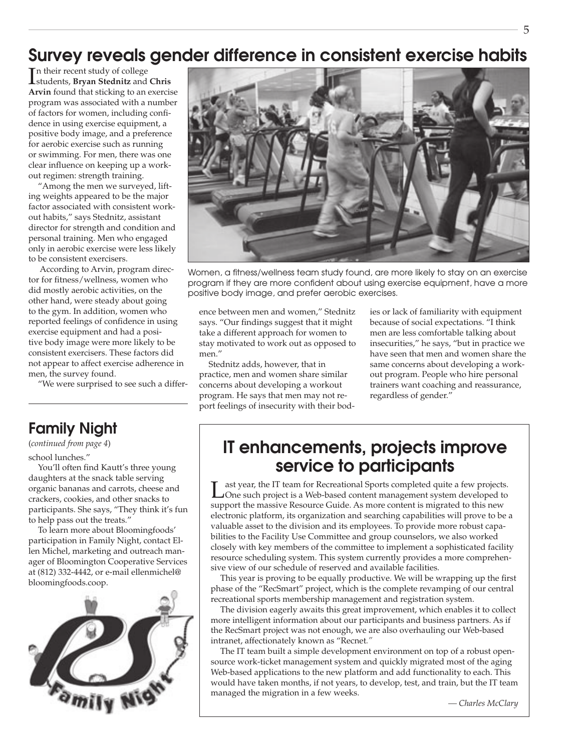### Survey reveals gender difference in consistent exercise habits

I students, **Bryan Stednitz** and **Chris**  n their recent study of college **Arvin** found that sticking to an exercise program was associated with a number of factors for women, including confidence in using exercise equipment, a positive body image, and a preference for aerobic exercise such as running or swimming. For men, there was one clear influence on keeping up a workout regimen: strength training.

"Among the men we surveyed, lifting weights appeared to be the major factor associated with consistent workout habits," says Stednitz, assistant director for strength and condition and personal training. Men who engaged only in aerobic exercise were less likely to be consistent exercisers.

 According to Arvin, program director for fitness/wellness, women who did mostly aerobic activities, on the other hand, were steady about going to the gym. In addition, women who reported feelings of confidence in using exercise equipment and had a positive body image were more likely to be consistent exercisers. These factors did not appear to affect exercise adherence in men, the survey found.

"We were surprised to see such a differ-

#### Family Night

school lunches." (*continued from page 4*)

You'll often find Kautt's three young daughters at the snack table serving organic bananas and carrots, cheese and crackers, cookies, and other snacks to participants. She says, "They think it's fun to help pass out the treats."

To learn more about Bloomingfoods' participation in Family Night, contact Ellen Michel, marketing and outreach manager of Bloomington Cooperative Services at (812) 332-4442, or e-mail ellenmichel@ bloomingfoods.coop.





Women, a fitness/wellness team study found, are more likely to stay on an exercise program if they are more confident about using exercise equipment, have a more positive body image, and prefer aerobic exercises.

ence between men and women," Stednitz says. "Our findings suggest that it might take a different approach for women to stay motivated to work out as opposed to men."

Stednitz adds, however, that in practice, men and women share similar concerns about developing a workout program. He says that men may not report feelings of insecurity with their bodies or lack of familiarity with equipment because of social expectations. "I think men are less comfortable talking about insecurities," he says, "but in practice we have seen that men and women share the same concerns about developing a workout program. People who hire personal trainers want coaching and reassurance, regardless of gender."

### IT enhancements, projects improve service to participants

Last year, the IT team for Recreational Sports completed quite a few projects.<br>
One such project is a Web-based content management system developed to support the massive Resource Guide. As more content is migrated to this new electronic platform, its organization and searching capabilities will prove to be a valuable asset to the division and its employees. To provide more robust capabilities to the Facility Use Committee and group counselors, we also worked closely with key members of the committee to implement a sophisticated facility resource scheduling system. This system currently provides a more comprehensive view of our schedule of reserved and available facilities.

This year is proving to be equally productive. We will be wrapping up the first phase of the "RecSmart" project, which is the complete revamping of our central recreational sports membership management and registration system.

The division eagerly awaits this great improvement, which enables it to collect more intelligent information about our participants and business partners. As if the RecSmart project was not enough, we are also overhauling our Web-based intranet, affectionately known as "Recnet*."* 

The IT team built a simple development environment on top of a robust opensource work-ticket management system and quickly migrated most of the aging Web-based applications to the new platform and add functionality to each. This would have taken months, if not years, to develop, test, and train, but the IT team managed the migration in a few weeks.

*— Charles McClary*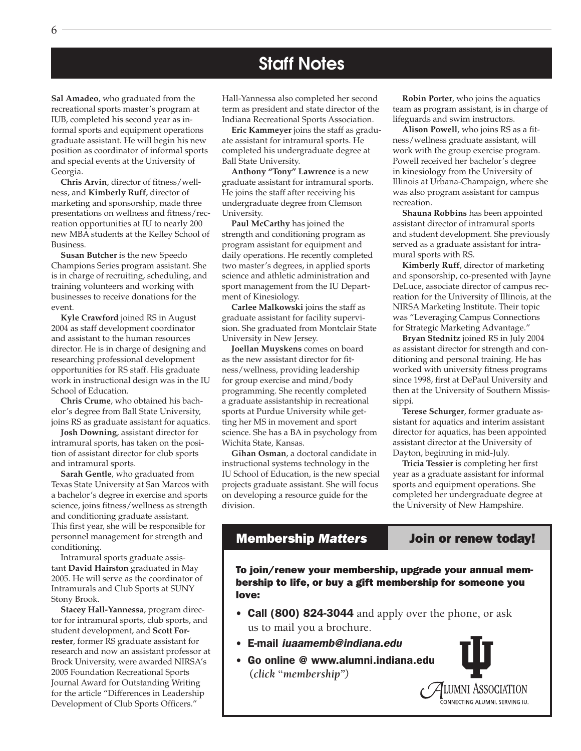#### Staff Notes

**Sal Amadeo**, who graduated from the recreational sports master's program at IUB, completed his second year as informal sports and equipment operations graduate assistant. He will begin his new position as coordinator of informal sports and special events at the University of Georgia.

**Chris Arvin**, director of fitness/wellness, and **Kimberly Ruff**, director of marketing and sponsorship, made three presentations on wellness and fitness/recreation opportunities at IU to nearly 200 new MBA students at the Kelley School of Business.

**Susan Butcher** is the new Speedo Champions Series program assistant. She is in charge of recruiting, scheduling, and training volunteers and working with businesses to receive donations for the event.

**Kyle Crawford** joined RS in August 2004 as staff development coordinator and assistant to the human resources director. He is in charge of designing and researching professional development opportunities for RS staff. His graduate work in instructional design was in the IU School of Education.

**Chris Crume**, who obtained his bachelor's degree from Ball State University, joins RS as graduate assistant for aquatics.

**Josh Downing**, assistant director for intramural sports, has taken on the position of assistant director for club sports and intramural sports.

**Sarah Gentle**, who graduated from Texas State University at San Marcos with a bachelor's degree in exercise and sports science, joins fitness/wellness as strength and conditioning graduate assistant. This first year, she will be responsible for personnel management for strength and conditioning.

Intramural sports graduate assistant **David Hairston** graduated in May 2005. He will serve as the coordinator of Intramurals and Club Sports at SUNY Stony Brook.

**Stacey Hall-Yannessa**, program director for intramural sports, club sports, and student development, and **Scott Forrester**, former RS graduate assistant for research and now an assistant professor at Brock University, were awarded NIRSA's 2005 Foundation Recreational Sports Journal Award for Outstanding Writing for the article "Differences in Leadership Development of Club Sports Officers."

Hall-Yannessa also completed her second term as president and state director of the Indiana Recreational Sports Association.

**Eric Kammeyer** joins the staff as graduate assistant for intramural sports. He completed his undergraduate degree at Ball State University.

**Anthony "Tony" Lawrence** is a new graduate assistant for intramural sports. He joins the staff after receiving his undergraduate degree from Clemson University.

**Paul McCarthy** has joined the strength and conditioning program as program assistant for equipment and daily operations. He recently completed two master's degrees, in applied sports science and athletic administration and sport management from the IU Department of Kinesiology.

**Carlee Malkowski** joins the staff as graduate assistant for facility supervision. She graduated from Montclair State University in New Jersey.

**Joellan Muyskens** comes on board as the new assistant director for fitness/wellness, providing leadership for group exercise and mind/body programming. She recently completed a graduate assistantship in recreational sports at Purdue University while getting her MS in movement and sport science. She has a BA in psychology from Wichita State, Kansas.

**Gihan Osman**, a doctoral candidate in instructional systems technology in the IU School of Education, is the new special projects graduate assistant. She will focus on developing a resource guide for the division.

**Robin Porter**, who joins the aquatics team as program assistant, is in charge of lifeguards and swim instructors.

**Alison Powell**, who joins RS as a fitness/wellness graduate assistant, will work with the group exercise program. Powell received her bachelor's degree in kinesiology from the University of Illinois at Urbana-Champaign, where she was also program assistant for campus recreation.

**Shauna Robbins** has been appointed assistant director of intramural sports and student development. She previously served as a graduate assistant for intramural sports with RS.

**Kimberly Ruff**, director of marketing and sponsorship, co-presented with Jayne DeLuce, associate director of campus recreation for the University of Illinois, at the NIRSA Marketing Institute. Their topic was "Leveraging Campus Connections for Strategic Marketing Advantage."

**Bryan Stednitz** joined RS in July 2004 as assistant director for strength and conditioning and personal training. He has worked with university fitness programs since 1998, first at DePaul University and then at the University of Southern Mississippi.

**Terese Schurger**, former graduate assistant for aquatics and interim assistant director for aquatics, has been appointed assistant director at the University of Dayton, beginning in mid-July.

**Tricia Tessier** is completing her first year as a graduate assistant for informal sports and equipment operations. She completed her undergraduate degree at the University of New Hampshire.

#### Membership *Matters* Join or renew today!

To join/renew your membership, upgrade your annual membership to life, or buy a gift membership for someone you love:

- Call (800) 824-3044 and apply over the phone, or ask us to mail you a brochure.
- E-mail iuaamemb@indiana.edu
- Go online @ www.alumni.indiana.edu **(***click* **"***membership")*

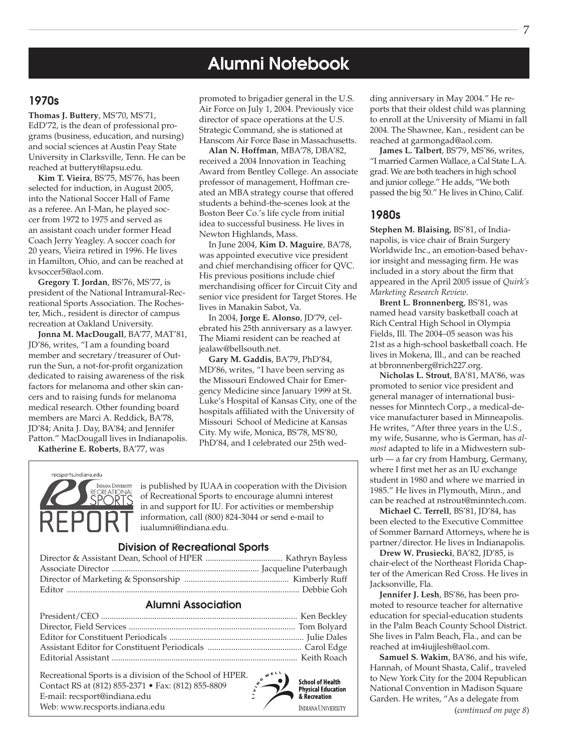### Alumni Notebook

#### 1970s

**Thomas J. Buttery**, MS'70, MS'71, EdD'72, is the dean of professional programs (business, education, and nursing) and social sciences at Austin Peay State University in Clarksville, Tenn. He can be reached at butteryt@apsu.edu.

**Kim T. Vieira**, BS'75, MS'76, has been selected for induction, in August 2005, into the National Soccer Hall of Fame as a referee. An I-Man, he played soccer from 1972 to 1975 and served as an assistant coach under former Head Coach Jerry Yeagley. A soccer coach for 20 years, Vieira retired in 1996. He lives in Hamilton, Ohio, and can be reached at kvsoccer5@aol.com.

**Gregory T. Jordan**, BS'76, MS'77, is president of the National Intramural-Recreational Sports Association. The Rochester, Mich., resident is director of campus recreation at Oakland University.

**Jonna M. MacDougall**, BA'77, MAT'81, JD'86, writes, "I am a founding board member and secretary/treasurer of Outrun the Sun, a not-for-profit organization dedicated to raising awareness of the risk factors for melanoma and other skin cancers and to raising funds for melanoma medical research. Other founding board members are Marci A. Reddick, BA'78, JD'84; Anita J. Day, BA'84; and Jennifer Patton." MacDougall lives in Indianapolis.

**Katherine E. Roberts**, BA'77, was

promoted to brigadier general in the U.S. Air Force on July 1, 2004. Previously vice director of space operations at the U.S. Strategic Command, she is stationed at Hanscom Air Force Base in Massachusetts.

**Alan N. Hoffman**, MBA'78, DBA'82, received a 2004 Innovation in Teaching Award from Bentley College. An associate professor of management, Hoffman created an MBA strategy course that offered students a behind-the-scenes look at the Boston Beer Co.'s life cycle from initial idea to successful business. He lives in Newton Highlands, Mass.

In June 2004, **Kim D. Maguire**, BA'78, was appointed executive vice president and chief merchandising officer for QVC. His previous positions include chief merchandising officer for Circuit City and senior vice president for Target Stores. He lives in Manakin Sabot, Va.

In 2004, **Jorge E. Alonso**, JD'79, celebrated his 25th anniversary as a lawyer. The Miami resident can be reached at jealaw@bellsouth.net.

**Gary M. Gaddis**, BA'79, PhD'84, MD'86, writes, "I have been serving as the Missouri Endowed Chair for Emergency Medicine since January 1999 at St. Luke's Hospital of Kansas City, one of the hospitals affiliated with the University of Missouri School of Medicine at Kansas City. My wife, Monica, BS'78, MS'80, PhD'84, and I celebrated our 25th wed-



is published by IUAA in cooperation with the Division of Recreational Sports to encourage alumni interest in and support for IU. For activities or membership information, call (800) 824-3044 or send e-mail to iualumni@indiana.edu.

#### Division of Recreational Sports

#### Alumni Association

Recreational Sports is a division of the School of HPER. Contact RS at (812) 855-2371 • Fax: (812) 855-8809 E-mail: recsport@indiana.edu Web: www.recsports.indiana.edu



ding anniversary in May 2004." He reports that their oldest child was planning to enroll at the University of Miami in fall 2004. The Shawnee, Kan., resident can be reached at garmongad@aol.com.

**James L. Talbert**, BS'79, MS'86, writes, "I married Carmen Wallace, a Cal State L.A. grad. We are both teachers in high school and junior college." He adds, "We both passed the big 50." He lives in Chino, Calif.

#### 1980s

**Stephen M. Blaising**, BS'81, of Indianapolis, is vice chair of Brain Surgery Worldwide Inc., an emotion-based behavior insight and messaging firm. He was included in a story about the firm that appeared in the April 2005 issue of *Quirk's Marketing Research Review*.

**Brent L. Bronnenberg**, BS'81, was named head varsity basketball coach at Rich Central High School in Olympia Fields, Ill. The 2004–05 season was his 21st as a high-school basketball coach. He lives in Mokena, Ill., and can be reached at bbronnenberg@rich227.org.

**Nicholas L. Strout**, BA'81, MA'86, was promoted to senior vice president and general manager of international businesses for Minntech Corp., a medical-device manufacturer based in Minneapolis. He writes, "After three years in the U.S., my wife, Susanne, who is German, has *almost* adapted to life in a Midwestern suburb — a far cry from Hamburg, Germany, where I first met her as an IU exchange student in 1980 and where we married in 1985." He lives in Plymouth, Minn., and can be reached at nstrout@minntech.com.

**Michael C. Terrell**, BS'81, JD'84, has been elected to the Executive Committee of Sommer Barnard Attorneys, where he is partner/director. He lives in Indianapolis.

**Drew W. Prusiecki**, BA'82, JD'85, is chair-elect of the Northeast Florida Chapter of the American Red Cross. He lives in Jacksonville, Fla.

**Jennifer J. Lesh**, BS'86, has been promoted to resource teacher for alternative education for special-education students in the Palm Beach County School District. She lives in Palm Beach, Fla., and can be reached at im4iujjlesh@aol.com.

**Samuel S. Wakim**, BA'86, and his wife, Hannah, of Mount Shasta, Calif., traveled to New York City for the 2004 Republican National Convention in Madison Square Garden. He writes, "As a delegate from (*continued on page 8*)